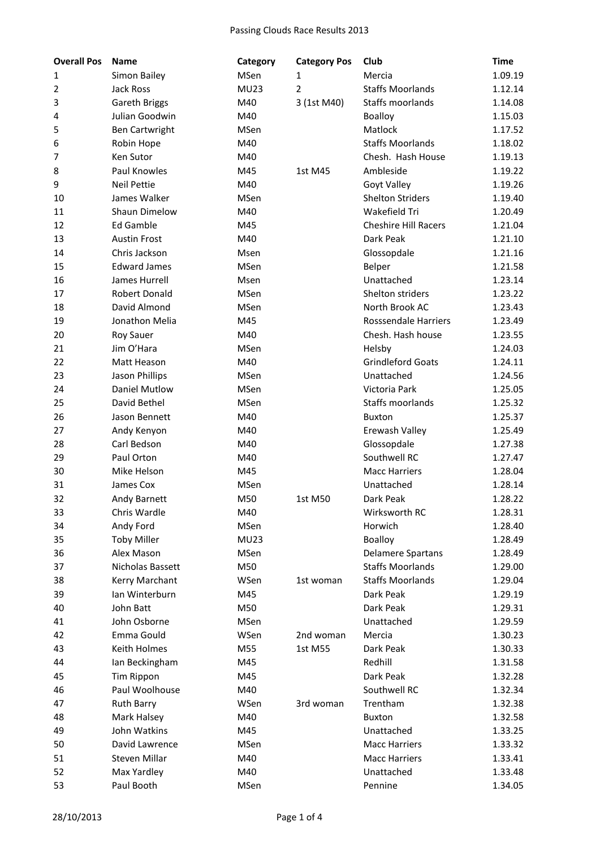| <b>Overall Pos</b> | <b>Name</b>          | Category    | <b>Category Pos</b> | Club                        | <b>Time</b> |
|--------------------|----------------------|-------------|---------------------|-----------------------------|-------------|
| 1                  | Simon Bailey         | MSen        | 1                   | Mercia                      | 1.09.19     |
| 2                  | <b>Jack Ross</b>     | <b>MU23</b> | $\overline{2}$      | <b>Staffs Moorlands</b>     | 1.12.14     |
| 3                  | Gareth Briggs        | M40         | 3 (1st M40)         | Staffs moorlands            | 1.14.08     |
| 4                  | Julian Goodwin       | M40         |                     | Boalloy                     | 1.15.03     |
| 5                  | Ben Cartwright       | MSen        |                     | Matlock                     | 1.17.52     |
| 6                  | Robin Hope           | M40         |                     | <b>Staffs Moorlands</b>     | 1.18.02     |
| 7                  | Ken Sutor            | M40         |                     | Chesh. Hash House           | 1.19.13     |
| 8                  | <b>Paul Knowles</b>  | M45         | 1st M45             | Ambleside                   | 1.19.22     |
| 9                  | <b>Neil Pettie</b>   | M40         |                     | Goyt Valley                 | 1.19.26     |
| 10                 | James Walker         | MSen        |                     | <b>Shelton Striders</b>     | 1.19.40     |
| 11                 | Shaun Dimelow        | M40         |                     | Wakefield Tri               | 1.20.49     |
| 12                 | <b>Ed Gamble</b>     | M45         |                     | <b>Cheshire Hill Racers</b> | 1.21.04     |
| 13                 | <b>Austin Frost</b>  | M40         |                     | Dark Peak                   | 1.21.10     |
| 14                 | Chris Jackson        | Msen        |                     | Glossopdale                 | 1.21.16     |
| 15                 | <b>Edward James</b>  | <b>MSen</b> |                     | Belper                      | 1.21.58     |
| 16                 | James Hurrell        | Msen        |                     | Unattached                  | 1.23.14     |
| 17                 | <b>Robert Donald</b> | MSen        |                     | Shelton striders            | 1.23.22     |
| 18                 | David Almond         | <b>MSen</b> |                     | North Brook AC              | 1.23.43     |
| 19                 | Jonathon Melia       | M45         |                     | <b>Rosssendale Harriers</b> | 1.23.49     |
| 20                 | <b>Roy Sauer</b>     | M40         |                     | Chesh. Hash house           | 1.23.55     |
| 21                 | Jim O'Hara           | MSen        |                     | Helsby                      | 1.24.03     |
| 22                 | Matt Heason          | M40         |                     | <b>Grindleford Goats</b>    | 1.24.11     |
| 23                 | Jason Phillips       | MSen        |                     | Unattached                  | 1.24.56     |
| 24                 | <b>Daniel Mutlow</b> | MSen        |                     | Victoria Park               | 1.25.05     |
| 25                 | David Bethel         | <b>MSen</b> |                     | Staffs moorlands            | 1.25.32     |
| 26                 | Jason Bennett        | M40         |                     | <b>Buxton</b>               | 1.25.37     |
| 27                 | Andy Kenyon          | M40         |                     | Erewash Valley              | 1.25.49     |
| 28                 | Carl Bedson          | M40         |                     | Glossopdale                 | 1.27.38     |
| 29                 | Paul Orton           | M40         |                     | Southwell RC                | 1.27.47     |
| 30                 | Mike Helson          | M45         |                     | <b>Macc Harriers</b>        | 1.28.04     |
| 31                 | James Cox            | MSen        |                     | Unattached                  | 1.28.14     |
| 32                 | Andy Barnett         | M50         | 1st M50             | Dark Peak                   | 1.28.22     |
| 33                 | Chris Wardle         | M40         |                     | Wirksworth RC               | 1.28.31     |
| 34                 | Andy Ford            | MSen        |                     | Horwich                     | 1.28.40     |
| 35                 | <b>Toby Miller</b>   | <b>MU23</b> |                     | <b>Boalloy</b>              | 1.28.49     |
| 36                 | Alex Mason           | MSen        |                     | <b>Delamere Spartans</b>    | 1.28.49     |
| 37                 | Nicholas Bassett     | M50         |                     | <b>Staffs Moorlands</b>     | 1.29.00     |
| 38                 | Kerry Marchant       | WSen        | 1st woman           | <b>Staffs Moorlands</b>     | 1.29.04     |
| 39                 | Ian Winterburn       | M45         |                     | Dark Peak                   | 1.29.19     |
| 40                 | John Batt            | M50         |                     | Dark Peak                   | 1.29.31     |
| 41                 | John Osborne         | MSen        |                     | Unattached                  | 1.29.59     |
| 42                 | Emma Gould           | WSen        | 2nd woman           | Mercia                      | 1.30.23     |
| 43                 | Keith Holmes         | M55         | 1st M55             | Dark Peak                   | 1.30.33     |
| 44                 | Ian Beckingham       | M45         |                     | Redhill                     | 1.31.58     |
| 45                 | Tim Rippon           | M45         |                     | Dark Peak                   | 1.32.28     |
| 46                 | Paul Woolhouse       | M40         |                     | Southwell RC                | 1.32.34     |
| 47                 | <b>Ruth Barry</b>    | WSen        | 3rd woman           | Trentham                    | 1.32.38     |
| 48                 | Mark Halsey          | M40         |                     | <b>Buxton</b>               | 1.32.58     |
| 49                 | John Watkins         | M45         |                     | Unattached                  | 1.33.25     |
| 50                 | David Lawrence       | MSen        |                     | <b>Macc Harriers</b>        | 1.33.32     |
| 51                 | Steven Millar        | M40         |                     | <b>Macc Harriers</b>        | 1.33.41     |
| 52                 | Max Yardley          | M40         |                     | Unattached                  | 1.33.48     |
| 53                 | Paul Booth           | MSen        |                     | Pennine                     | 1.34.05     |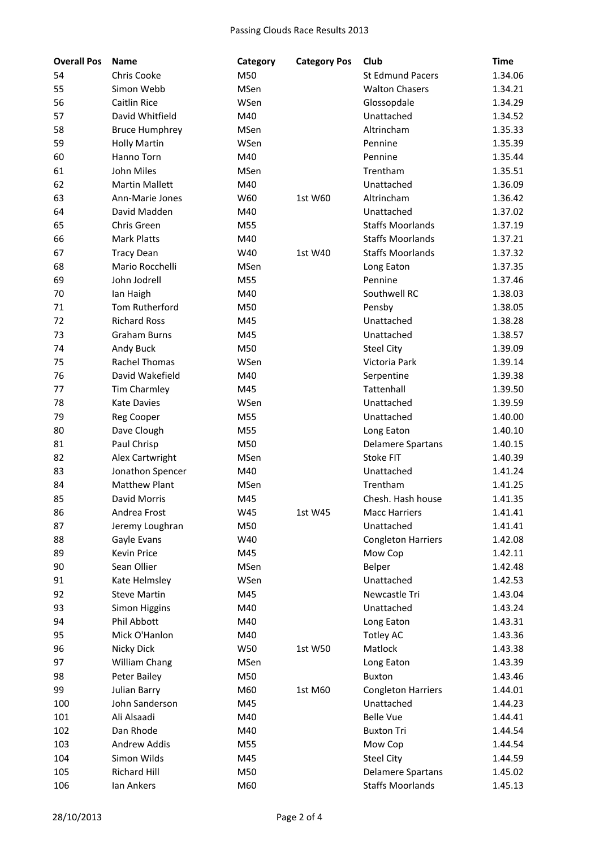| <b>Overall Pos</b> | <b>Name</b>           | Category    | <b>Category Pos</b> | Club                      | <b>Time</b> |
|--------------------|-----------------------|-------------|---------------------|---------------------------|-------------|
| 54                 | Chris Cooke           | M50         |                     | <b>St Edmund Pacers</b>   | 1.34.06     |
| 55                 | Simon Webb            | MSen        |                     | <b>Walton Chasers</b>     | 1.34.21     |
| 56                 | <b>Caitlin Rice</b>   | WSen        |                     | Glossopdale               | 1.34.29     |
| 57                 | David Whitfield       | M40         |                     | Unattached                | 1.34.52     |
| 58                 | <b>Bruce Humphrey</b> | MSen        |                     | Altrincham                | 1.35.33     |
| 59                 | <b>Holly Martin</b>   | WSen        |                     | Pennine                   | 1.35.39     |
| 60                 | Hanno Torn            | M40         |                     | Pennine                   | 1.35.44     |
| 61                 | John Miles            | MSen        |                     | Trentham                  | 1.35.51     |
| 62                 | <b>Martin Mallett</b> | M40         |                     | Unattached                | 1.36.09     |
| 63                 | Ann-Marie Jones       | W60         | 1st W60             | Altrincham                | 1.36.42     |
| 64                 | David Madden          | M40         |                     | Unattached                | 1.37.02     |
| 65                 | Chris Green           | M55         |                     | <b>Staffs Moorlands</b>   | 1.37.19     |
| 66                 | <b>Mark Platts</b>    | M40         |                     | <b>Staffs Moorlands</b>   | 1.37.21     |
| 67                 | <b>Tracy Dean</b>     | W40         | 1st W40             | <b>Staffs Moorlands</b>   | 1.37.32     |
| 68                 | Mario Rocchelli       | <b>MSen</b> |                     | Long Eaton                | 1.37.35     |
| 69                 | John Jodrell          | M55         |                     | Pennine                   | 1.37.46     |
| 70                 | lan Haigh             | M40         |                     | Southwell RC              | 1.38.03     |
| 71                 | Tom Rutherford        | M50         |                     | Pensby                    | 1.38.05     |
| 72                 | <b>Richard Ross</b>   | M45         |                     | Unattached                | 1.38.28     |
| 73                 | <b>Graham Burns</b>   | M45         |                     | Unattached                | 1.38.57     |
| 74                 | Andy Buck             | M50         |                     | <b>Steel City</b>         | 1.39.09     |
| 75                 | Rachel Thomas         | WSen        |                     | Victoria Park             | 1.39.14     |
| 76                 | David Wakefield       | M40         |                     | Serpentine                | 1.39.38     |
| 77                 | Tim Charmley          | M45         |                     | Tattenhall                | 1.39.50     |
| 78                 | <b>Kate Davies</b>    | WSen        |                     | Unattached                | 1.39.59     |
| 79                 | Reg Cooper            | M55         |                     | Unattached                | 1.40.00     |
| 80                 | Dave Clough           | M55         |                     | Long Eaton                | 1.40.10     |
| 81                 | Paul Chrisp           | M50         |                     | <b>Delamere Spartans</b>  | 1.40.15     |
| 82                 | Alex Cartwright       | MSen        |                     | <b>Stoke FIT</b>          | 1.40.39     |
| 83                 | Jonathon Spencer      | M40         |                     | Unattached                | 1.41.24     |
| 84                 | <b>Matthew Plant</b>  | MSen        |                     | Trentham                  | 1.41.25     |
| 85                 | David Morris          | M45         |                     | Chesh. Hash house         | 1.41.35     |
| 86                 | Andrea Frost          | W45         | 1st W45             | <b>Macc Harriers</b>      | 1.41.41     |
| 87                 | Jeremy Loughran       | M50         |                     | Unattached                | 1.41.41     |
| 88                 | Gayle Evans           | W40         |                     | <b>Congleton Harriers</b> | 1.42.08     |
| 89                 | Kevin Price           | M45         |                     | Mow Cop                   | 1.42.11     |
| 90                 | Sean Ollier           | MSen        |                     | Belper                    | 1.42.48     |
| 91                 | Kate Helmsley         | WSen        |                     | Unattached                | 1.42.53     |
| 92                 | <b>Steve Martin</b>   | M45         |                     | Newcastle Tri             | 1.43.04     |
| 93                 | Simon Higgins         | M40         |                     | Unattached                | 1.43.24     |
| 94                 | Phil Abbott           | M40         |                     | Long Eaton                | 1.43.31     |
| 95                 | Mick O'Hanlon         | M40         |                     | <b>Totley AC</b>          | 1.43.36     |
| 96                 | Nicky Dick            | W50         | 1st W50             | Matlock                   | 1.43.38     |
| 97                 | William Chang         | MSen        |                     | Long Eaton                | 1.43.39     |
| 98                 | Peter Bailey          | M50         |                     | <b>Buxton</b>             | 1.43.46     |
| 99                 | Julian Barry          | M60         | 1st M60             | <b>Congleton Harriers</b> | 1.44.01     |
| 100                | John Sanderson        | M45         |                     | Unattached                | 1.44.23     |
| 101                | Ali Alsaadi           | M40         |                     | <b>Belle Vue</b>          | 1.44.41     |
| 102                | Dan Rhode             | M40         |                     | <b>Buxton Tri</b>         | 1.44.54     |
| 103                | Andrew Addis          | M55         |                     | Mow Cop                   | 1.44.54     |
| 104                | Simon Wilds           | M45         |                     | <b>Steel City</b>         | 1.44.59     |
| 105                | <b>Richard Hill</b>   | M50         |                     | <b>Delamere Spartans</b>  | 1.45.02     |
| 106                | Ian Ankers            | M60         |                     | <b>Staffs Moorlands</b>   | 1.45.13     |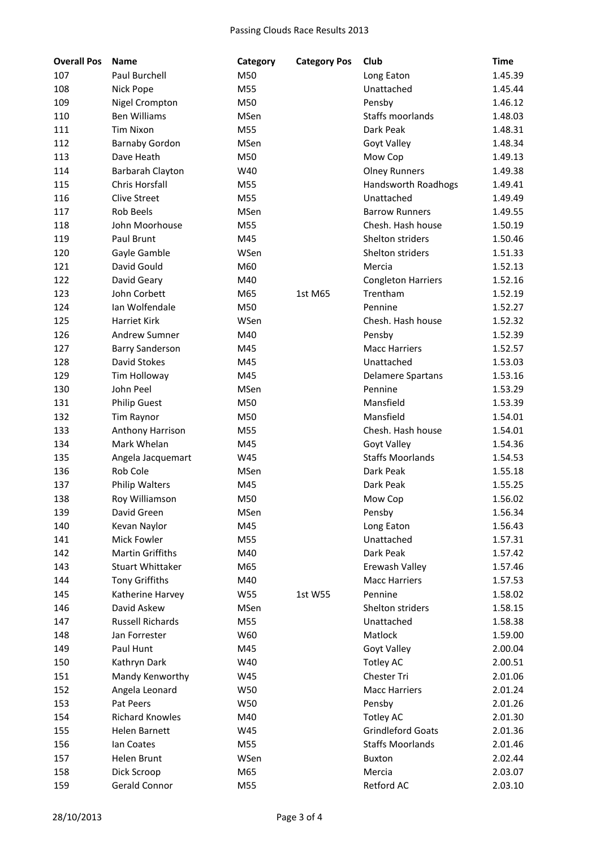| <b>Overall Pos</b> | <b>Name</b>             | Category    | <b>Category Pos</b> | Club                      | <b>Time</b> |
|--------------------|-------------------------|-------------|---------------------|---------------------------|-------------|
| 107                | Paul Burchell           | M50         |                     | Long Eaton                | 1.45.39     |
| 108                | Nick Pope               | M55         |                     | Unattached                | 1.45.44     |
| 109                | <b>Nigel Crompton</b>   | M50         |                     | Pensby                    | 1.46.12     |
| 110                | <b>Ben Williams</b>     | MSen        |                     | <b>Staffs moorlands</b>   | 1.48.03     |
| 111                | <b>Tim Nixon</b>        | M55         |                     | Dark Peak                 | 1.48.31     |
| 112                | <b>Barnaby Gordon</b>   | MSen        |                     | Goyt Valley               | 1.48.34     |
| 113                | Dave Heath              | M50         |                     | Mow Cop                   | 1.49.13     |
| 114                | Barbarah Clayton        | W40         |                     | <b>Olney Runners</b>      | 1.49.38     |
| 115                | Chris Horsfall          | M55         |                     | Handsworth Roadhogs       | 1.49.41     |
| 116                | <b>Clive Street</b>     | M55         |                     | Unattached                | 1.49.49     |
| 117                | Rob Beels               | MSen        |                     | <b>Barrow Runners</b>     | 1.49.55     |
| 118                | John Moorhouse          | M55         |                     | Chesh. Hash house         | 1.50.19     |
| 119                | Paul Brunt              | M45         |                     | Shelton striders          | 1.50.46     |
| 120                | Gayle Gamble            | WSen        |                     | Shelton striders          | 1.51.33     |
| 121                | David Gould             | M60         |                     | Mercia                    | 1.52.13     |
| 122                | David Geary             | M40         |                     | <b>Congleton Harriers</b> | 1.52.16     |
| 123                | John Corbett            | M65         | 1st M65             | Trentham                  | 1.52.19     |
| 124                | Ian Wolfendale          | M50         |                     | Pennine                   | 1.52.27     |
| 125                | <b>Harriet Kirk</b>     | WSen        |                     | Chesh. Hash house         | 1.52.32     |
| 126                | <b>Andrew Sumner</b>    | M40         |                     | Pensby                    | 1.52.39     |
| 127                | <b>Barry Sanderson</b>  | M45         |                     | <b>Macc Harriers</b>      | 1.52.57     |
| 128                | David Stokes            | M45         |                     | Unattached                | 1.53.03     |
| 129                | Tim Holloway            | M45         |                     | <b>Delamere Spartans</b>  | 1.53.16     |
| 130                | John Peel               | <b>MSen</b> |                     | Pennine                   | 1.53.29     |
| 131                | <b>Philip Guest</b>     | M50         |                     | Mansfield                 | 1.53.39     |
| 132                | Tim Raynor              | M50         |                     | Mansfield                 | 1.54.01     |
| 133                | Anthony Harrison        | M55         |                     | Chesh. Hash house         | 1.54.01     |
| 134                | Mark Whelan             | M45         |                     | Goyt Valley               | 1.54.36     |
| 135                | Angela Jacquemart       | W45         |                     | <b>Staffs Moorlands</b>   | 1.54.53     |
| 136                | Rob Cole                | MSen        |                     | Dark Peak                 | 1.55.18     |
| 137                | <b>Philip Walters</b>   | M45         |                     | Dark Peak                 | 1.55.25     |
| 138                | Roy Williamson          | M50         |                     | Mow Cop                   | 1.56.02     |
| 139                | David Green             | MSen        |                     | Pensby                    | 1.56.34     |
| 140                | Kevan Naylor            | M45         |                     | Long Eaton                | 1.56.43     |
| 141                | <b>Mick Fowler</b>      | M55         |                     | Unattached                | 1.57.31     |
| 142                | <b>Martin Griffiths</b> | M40         |                     | Dark Peak                 | 1.57.42     |
| 143                | <b>Stuart Whittaker</b> | M65         |                     | Erewash Valley            | 1.57.46     |
| 144                | <b>Tony Griffiths</b>   | M40         |                     | <b>Macc Harriers</b>      | 1.57.53     |
| 145                | Katherine Harvey        | W55         | 1st W55             | Pennine                   | 1.58.02     |
| 146                | David Askew             | MSen        |                     | Shelton striders          | 1.58.15     |
| 147                | <b>Russell Richards</b> | M55         |                     | Unattached                | 1.58.38     |
| 148                | Jan Forrester           | W60         |                     | Matlock                   | 1.59.00     |
| 149                | Paul Hunt               | M45         |                     | <b>Goyt Valley</b>        | 2.00.04     |
| 150                | Kathryn Dark            | W40         |                     | Totley AC                 | 2.00.51     |
| 151                | Mandy Kenworthy         | W45         |                     | Chester Tri               | 2.01.06     |
| 152                | Angela Leonard          | W50         |                     | <b>Macc Harriers</b>      | 2.01.24     |
| 153                | Pat Peers               | W50         |                     | Pensby                    | 2.01.26     |
| 154                | <b>Richard Knowles</b>  | M40         |                     | Totley AC                 | 2.01.30     |
| 155                | Helen Barnett           | W45         |                     | <b>Grindleford Goats</b>  | 2.01.36     |
| 156                | lan Coates              | M55         |                     | <b>Staffs Moorlands</b>   | 2.01.46     |
| 157                | Helen Brunt             | WSen        |                     | <b>Buxton</b>             | 2.02.44     |
| 158                | Dick Scroop             | M65         |                     | Mercia                    | 2.03.07     |
| 159                | Gerald Connor           | M55         |                     | Retford AC                | 2.03.10     |